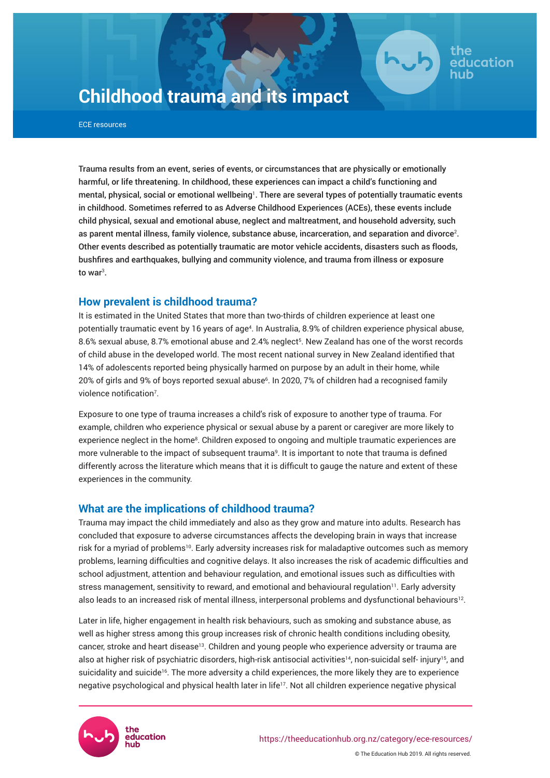

education

**Childhood trauma and its impact**

ECE resources

Trauma results from an event, series of events, or circumstances that are physically or emotionally harmful, or life threatening. In childhood, these experiences can impact a child's functioning and mental, physical, social or emotional wellbeing $^{\rm l}$ . There are several types of potentially traumatic events in childhood. Sometimes referred to as Adverse Childhood Experiences (ACEs), these events include child physical, sexual and emotional abuse, neglect and maltreatment, and household adversity, such as parent mental illness, family violence, substance abuse, incarceration, and separation and divorce  $2$ . Other events described as potentially traumatic are motor vehicle accidents, disasters such as floods, bushfires and earthquakes, bullying and community violence, and trauma from illness or exposure to war $^3$ .

### **How prevalent is childhood trauma?**

It is estimated in the United States that more than two-thirds of children experience at least one potentially traumatic event by 16 years of age<sup>4</sup> . In Australia, 8.9% of children experience physical abuse, 8.6% sexual abuse, 8.7% emotional abuse and 2.4% neglect<sup>5</sup> . New Zealand has one of the worst records of child abuse in the developed world. The most recent national survey in New Zealand identified that 14% of adolescents reported being physically harmed on purpose by an adult in their home, while 20% of girls and 9% of boys reported sexual abuse<sup>6</sup>. In 2020, 7% of children had a recognised family violence notification<sup>7</sup>.

Exposure to one type of trauma increases a child's risk of exposure to another type of trauma. For example, children who experience physical or sexual abuse by a parent or caregiver are more likely to experience neglect in the home<sup>8</sup>. Children exposed to ongoing and multiple traumatic experiences are more vulnerable to the impact of subsequent trauma<sup>9</sup>. It is important to note that trauma is defined differently across the literature which means that it is difficult to gauge the nature and extent of these experiences in the community.

# **What are the implications of childhood trauma?**

Trauma may impact the child immediately and also as they grow and mature into adults. Research has concluded that exposure to adverse circumstances affects the developing brain in ways that increase risk for a myriad of problems<sup>10</sup>. Early adversity increases risk for maladaptive outcomes such as memory problems, learning difficulties and cognitive delays. It also increases the risk of academic difficulties and school adjustment, attention and behaviour regulation, and emotional issues such as difficulties with stress management, sensitivity to reward, and emotional and behavioural regulation<sup>11</sup>. Early adversity also leads to an increased risk of mental illness, interpersonal problems and dysfunctional behaviours $^{12}$ .

Later in life, higher engagement in health risk behaviours, such as smoking and substance abuse, as well as higher stress among this group increases risk of chronic health conditions including obesity, cancer, stroke and heart disease<sup>13</sup>. Children and young people who experience adversity or trauma are also at higher risk of psychiatric disorders, high-risk antisocial activities<sup>14</sup>, non-suicidal self- injury<sup>15</sup>, and suicidality and suicide<sup>16</sup>. The more adversity a child experiences, the more likely they are to experience negative psychological and physical health later in life<sup>17</sup>. Not all children experience negative physical

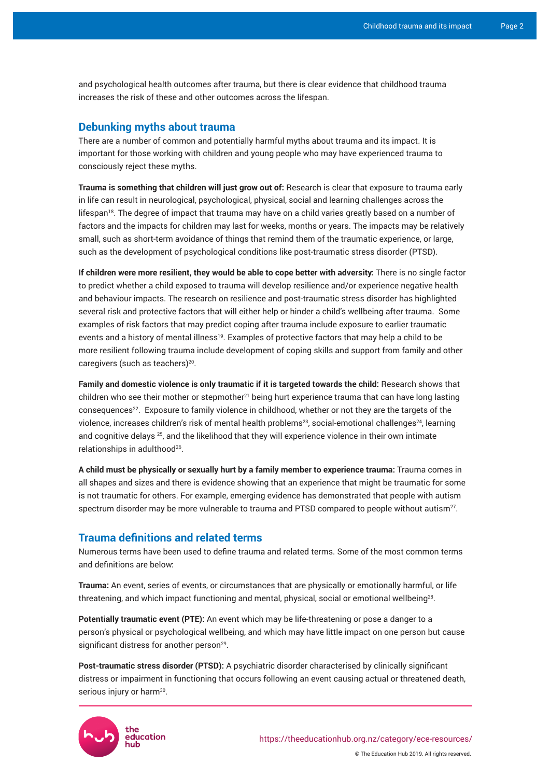and psychological health outcomes after trauma, but there is clear evidence that childhood trauma increases the risk of these and other outcomes across the lifespan.

### **Debunking myths about trauma**

There are a number of common and potentially harmful myths about trauma and its impact. It is important for those working with children and young people who may have experienced trauma to consciously reject these myths.

**Trauma is something that children will just grow out of:** Research is clear that exposure to trauma early in life can result in neurological, psychological, physical, social and learning challenges across the lifespan<sup>18</sup>. The degree of impact that trauma may have on a child varies greatly based on a number of factors and the impacts for children may last for weeks, months or years. The impacts may be relatively small, such as short-term avoidance of things that remind them of the traumatic experience, or large, such as the development of psychological conditions like post-traumatic stress disorder (PTSD).

**If children were more resilient, they would be able to cope better with adversity:** There is no single factor to predict whether a child exposed to trauma will develop resilience and/or experience negative health and behaviour impacts. The research on resilience and post-traumatic stress disorder has highlighted several risk and protective factors that will either help or hinder a child's wellbeing after trauma. Some examples of risk factors that may predict coping after trauma include exposure to earlier traumatic events and a history of mental illness<sup>19</sup>. Examples of protective factors that may help a child to be more resilient following trauma include development of coping skills and support from family and other caregivers (such as teachers)<sup>20</sup>.

**Family and domestic violence is only traumatic if it is targeted towards the child:** Research shows that children who see their mother or stepmother<sup>21</sup> being hurt experience trauma that can have long lasting consequences<sup>22</sup>. Exposure to family violence in childhood, whether or not they are the targets of the violence, increases children's risk of mental health problems<sup>23</sup>, social-emotional challenges<sup>24</sup>, learning and cognitive delays  $25$ , and the likelihood that they will experience violence in their own intimate relationships in adulthood<sup>26</sup>.

**A child must be physically or sexually hurt by a family member to experience trauma:** Trauma comes in all shapes and sizes and there is evidence showing that an experience that might be traumatic for some is not traumatic for others. For example, emerging evidence has demonstrated that people with autism spectrum disorder may be more vulnerable to trauma and PTSD compared to people without autism $^{27}$ .

## **Trauma definitions and related terms**

Numerous terms have been used to define trauma and related terms. Some of the most common terms and definitions are below:

**Trauma:** An event, series of events, or circumstances that are physically or emotionally harmful, or life threatening, and which impact functioning and mental, physical, social or emotional wellbeing $^{28}\cdot$ 

**Potentially traumatic event (PTE):** An event which may be life-threatening or pose a danger to a person's physical or psychological wellbeing, and which may have little impact on one person but cause significant distress for another person<sup>29</sup>.

**Post-traumatic stress disorder (PTSD):** A psychiatric disorder characterised by clinically significant distress or impairment in functioning that occurs following an event causing actual or threatened death, serious injury or harm<sup>30</sup>.

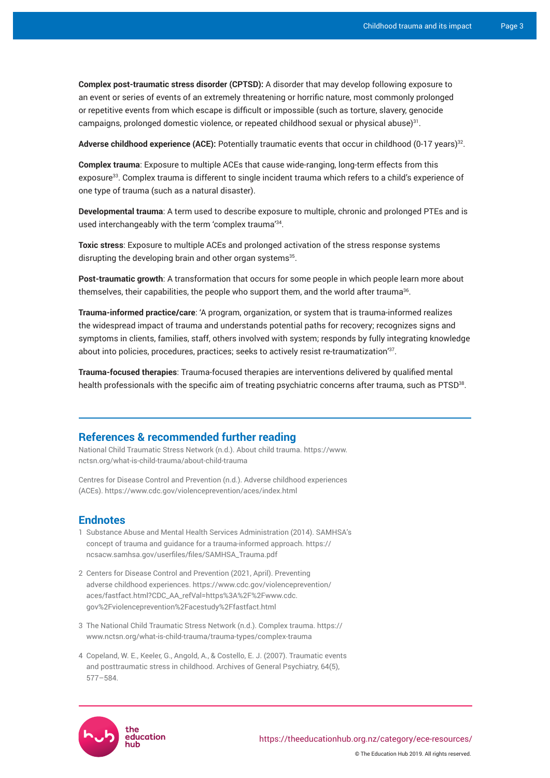**Complex post-traumatic stress disorder (CPTSD):** A disorder that may develop following exposure to an event or series of events of an extremely threatening or horrific nature, most commonly prolonged or repetitive events from which escape is difficult or impossible (such as torture, slavery, genocide campaigns, prolonged domestic violence, or repeated childhood sexual or physical abuse) $31$ .

**Adverse childhood experience (ACE):** Potentially traumatic events that occur in childhood (0-17 years) $^{32}$ .

**Complex trauma**: Exposure to multiple ACEs that cause wide-ranging, long-term effects from this exposure<sup>33</sup>. Complex trauma is different to single incident trauma which refers to a child's experience of one type of trauma (such as a natural disaster).

**Developmental trauma**: A term used to describe exposure to multiple, chronic and prolonged PTEs and is used interchangeably with the term 'complex trauma'<sup>34</sup> .

**Toxic stress**: Exposure to multiple ACEs and prolonged activation of the stress response systems disrupting the developing brain and other organ systems<sup>35</sup>.

**Post-traumatic growth**: A transformation that occurs for some people in which people learn more about themselves, their capabilities, the people who support them, and the world after trauma $^{\rm 36}.$ 

**Trauma-informed practice/care**: 'A program, organization, or system that is trauma-informed realizes the widespread impact of trauma and understands potential paths for recovery; recognizes signs and symptoms in clients, families, staff, others involved with system; responds by fully integrating knowledge about into policies, procedures, practices; seeks to actively resist re-traumatization'<sup>37</sup>.

**Trauma-focused therapies**: Trauma-focused therapies are interventions delivered by qualified mental health professionals with the specific aim of treating psychiatric concerns after trauma, such as PTSD $^\mathrm{38}.$ 

#### **References & recommended further reading**

National Child Traumatic Stress Network (n.d.). About child trauma. [https://www.](https://www.nctsn.org/what-is-child-trauma/about-child-trauma) [nctsn.org/what-is-child-trauma/about-child-trauma](https://www.nctsn.org/what-is-child-trauma/about-child-trauma)

Centres for Disease Control and Prevention (n.d.). Adverse childhood experiences (ACEs). <https://www.cdc.gov/violenceprevention/aces/index.html>

### **Endnotes**

- 1 Substance Abuse and Mental Health Services Administration (2014). SAMHSA's concept of trauma and guidance for a trauma-informed approach. [https://](https://ncsacw.samhsa.gov/userfiles/files/SAMHSA_Trauma.pdf) [ncsacw.samhsa.gov/userfiles/files/SAMHSA\\_Trauma.pdf](https://ncsacw.samhsa.gov/userfiles/files/SAMHSA_Trauma.pdf)
- 2 Centers for Disease Control and Prevention (2021, April). Preventing adverse childhood experiences. [https://www.cdc.gov/violenceprevention/](https://www.cdc.gov/violenceprevention/aces/fastfact.html?CDC_AA_refVal=https%3A%2F%2Fwww.cdc.gov%2Fviolenceprevention%2Facestudy%2Ffastfact.html) [aces/fastfact.html?CDC\\_AA\\_refVal=https%3A%2F%2Fwww.cdc.](https://www.cdc.gov/violenceprevention/aces/fastfact.html?CDC_AA_refVal=https%3A%2F%2Fwww.cdc.gov%2Fviolenceprevention%2Facestudy%2Ffastfact.html) [gov%2Fviolenceprevention%2Facestudy%2Ffastfact.html](https://www.cdc.gov/violenceprevention/aces/fastfact.html?CDC_AA_refVal=https%3A%2F%2Fwww.cdc.gov%2Fviolenceprevention%2Facestudy%2Ffastfact.html)
- 3 The National Child Traumatic Stress Network (n.d.). Complex trauma. [https://](https://www.nctsn.org/what-is-child-trauma/trauma-types/complex-trauma) [www.nctsn.org/what-is-child-trauma/trauma-types/complex-trauma](https://www.nctsn.org/what-is-child-trauma/trauma-types/complex-trauma)
- 4 Copeland, W. E., Keeler, G., Angold, A., & Costello, E. J. (2007). Traumatic events and posttraumatic stress in childhood. Archives of General Psychiatry, 64(5), 577–584.



© The Education Hub 2019. All rights reserved.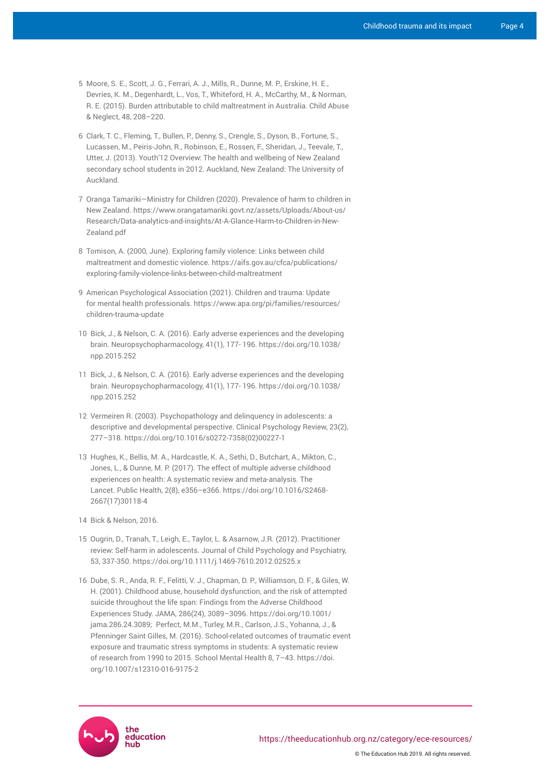- 5 Moore, S. E., Scott, J. G., Ferrari, A. J., Mills, R., Dunne, M. P., Erskine, H. E., Devries, K. M., Degenhardt, L., Vos, T., Whiteford, H. A., McCarthy, M., & Norman, R. E. (2015). Burden attributable to child maltreatment in Australia. Child Abuse & Neglect, 48, 208–220.
- 6 Clark, T. C., Fleming, T., Bullen, P., Denny, S., Crengle, S., Dyson, B., Fortune, S., Lucassen, M., Peiris-John, R., Robinson, E., Rossen, F., Sheridan, J., Teevale, T., Utter, J. (2013). Youth'12 Overview: The health and wellbeing of New Zealand secondary school students in 2012. Auckland, New Zealand: The University of Auckland.
- 7 Oranga Tamariki—Ministry for Children (2020). Prevalence of harm to children in New Zealand. [https://www.orangatamariki.govt.nz/assets/Uploads/About-us/](https://www.orangatamariki.govt.nz/assets/Uploads/About-us/Research/Data-analytics-and-insights/At-A-Glance-Harm-to-Children-in-New-Zealand.pdf) [Research/Data-analytics-and-insights/At-A-Glance-Harm-to-Children-in-New-](https://www.orangatamariki.govt.nz/assets/Uploads/About-us/Research/Data-analytics-and-insights/At-A-Glance-Harm-to-Children-in-New-Zealand.pdf)[Zealand.pdf](https://www.orangatamariki.govt.nz/assets/Uploads/About-us/Research/Data-analytics-and-insights/At-A-Glance-Harm-to-Children-in-New-Zealand.pdf)
- 8 Tomison, A. (2000, June). Exploring family violence: Links between child maltreatment and domestic violence. [https://aifs.gov.au/cfca/publications/](https://aifs.gov.au/cfca/publications/exploring-family-violence-links-between-child-maltreatment) [exploring-family-violence-links-between-child-maltreatment](https://aifs.gov.au/cfca/publications/exploring-family-violence-links-between-child-maltreatment)
- 9 American Psychological Association (2021). Children and trauma: Update for mental health professionals. [https://www.apa.org/pi/families/resources/](https://www.apa.org/pi/families/resources/children-trauma-update) [children-trauma-update](https://www.apa.org/pi/families/resources/children-trauma-update)
- 10 Bick, J., & Nelson, C. A. (2016). Early adverse experiences and the developing brain. Neuropsychopharmacology, 41(1), 177- 196. [https://doi.org/10.1038/](https://doi.org/10.1038/npp.2015.252) [npp.2015.252](https://doi.org/10.1038/npp.2015.252)
- 11 Bick, J., & Nelson, C. A. (2016). Early adverse experiences and the developing brain. Neuropsychopharmacology, 41(1), 177- 196. [https://doi.org/10.1038/](https://doi.org/10.1038/npp.2015.252) [npp.2015.252](https://doi.org/10.1038/npp.2015.252)
- 12 Vermeiren R. (2003). Psychopathology and delinquency in adolescents: a descriptive and developmental perspective. Clinical Psychology Review, 23(2), 277–318. [https://doi.org/10.1016/s0272-7358\(02\)00227-1](https://doi.org/10.1016/s0272-7358(02)00227-1)
- 13 Hughes, K., Bellis, M. A., Hardcastle, K. A., Sethi, D., Butchart, A., Mikton, C., Jones, L., & Dunne, M. P. (2017). The effect of multiple adverse childhood experiences on health: A systematic review and meta-analysis. The Lancet. Public Health, 2(8), e356–e366. [https://doi.org/10.1016/S2468-](https://doi.org/10.1016/S2468-2667(17)30118-4) [2667\(17\)30118-4](https://doi.org/10.1016/S2468-2667(17)30118-4)
- 14 Bick & Nelson, 2016.
- 15 Ougrin, D., Tranah, T., Leigh, E., Taylor, L. & Asarnow, J.R. (2012). Practitioner review: Self-harm in adolescents. Journal of Child Psychology and Psychiatry, 53, 337-350. <https://doi.org/10.1111/j.1469-7610.2012.02525.x>
- 16 Dube, S. R., Anda, R. F., Felitti, V. J., Chapman, D. P., Williamson, D. F., & Giles, W. H. (2001). Childhood abuse, household dysfunction, and the risk of attempted suicide throughout the life span: Findings from the Adverse Childhood Experiences Study. JAMA, 286(24), 3089–3096. [https://doi.org/10.1001/](https://doi.org/10.1001/jama.286.24.3089) [jama.286.24.3089;](https://doi.org/10.1001/jama.286.24.3089) Perfect, M.M., Turley, M.R., Carlson, J.S., Yohanna, J., & Pfenninger Saint Gilles, M. (2016). School-related outcomes of traumatic event exposure and traumatic stress symptoms in students: A systematic review of research from 1990 to 2015. School Mental Health 8, 7–43. [https://doi.](https://doi.org/10.1007/s12310-016-9175-2) [org/10.1007/s12310-016-9175-2](https://doi.org/10.1007/s12310-016-9175-2)

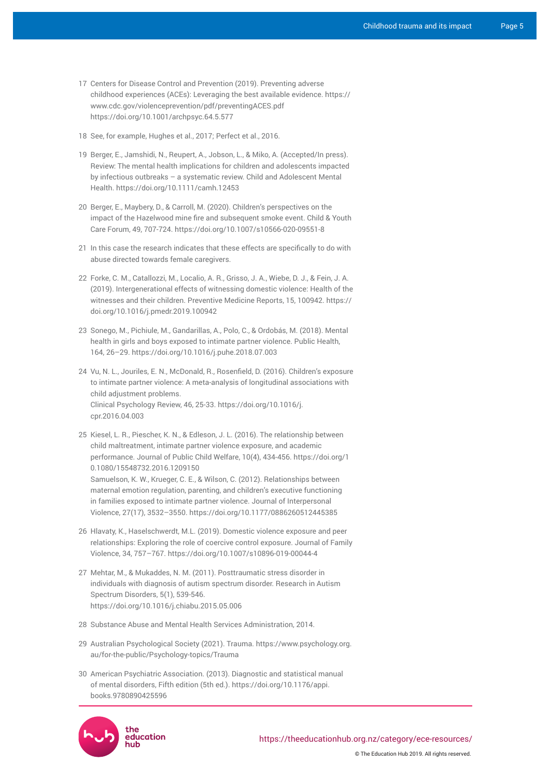- 17 Centers for Disease Control and Prevention (2019). Preventing adverse childhood experiences (ACEs): Leveraging the best available evidence. [https://](https://www.cdc.gov/violenceprevention/pdf/preventingACES.pdf) [www.cdc.gov/violenceprevention/pdf/preventingACES.pdf](https://www.cdc.gov/violenceprevention/pdf/preventingACES.pdf)  <https://doi.org/10.1001/archpsyc.64.5.577>
- 18 See, for example, Hughes et al., 2017; Perfect et al., 2016.
- 19 Berger, E., Jamshidi, N., Reupert, A., Jobson, L., & Miko, A. (Accepted/In press). Review: The mental health implications for children and adolescents impacted by infectious outbreaks – a systematic review. Child and Adolescent Mental Health. <https://doi.org/10.1111/camh.12453>
- 20 Berger, E., Maybery, D., & Carroll, M. (2020). Children's perspectives on the impact of the Hazelwood mine fire and subsequent smoke event. Child & Youth Care Forum, 49, 707-724.<https://doi.org/10.1007/s10566-020-09551-8>
- 21 In this case the research indicates that these effects are specifically to do with abuse directed towards female caregivers.
- 22 Forke, C. M., Catallozzi, M., Localio, A. R., Grisso, J. A., Wiebe, D. J., & Fein, J. A. (2019). Intergenerational effects of witnessing domestic violence: Health of the witnesses and their children. Preventive Medicine Reports, 15, 100942. [https://](https://doi.org/10.1016/j.pmedr.2019.100942) [doi.org/10.1016/j.pmedr.2019.100942](https://doi.org/10.1016/j.pmedr.2019.100942)
- 23 Sonego, M., Pichiule, M., Gandarillas, A., Polo, C., & Ordobás, M. (2018). Mental health in girls and boys exposed to intimate partner violence. Public Health, 164, 26–29. <https://doi.org/10.1016/j.puhe.2018.07.003>
- 24 Vu, N. L., Jouriles, E. N., McDonald, R., Rosenfield, D. (2016). Children's exposure to intimate partner violence: A meta-analysis of longitudinal associations with child adjustment problems. Clinical Psychology Review, 46, 25-33. [https://doi.org/10.1016/j.](https://doi.org/10.1016/j.cpr.2016.04.003) [cpr.2016.04.003](https://doi.org/10.1016/j.cpr.2016.04.003)
- 25 Kiesel, L. R., Piescher, K. N., & Edleson, J. L. (2016). The relationship between child maltreatment, intimate partner violence exposure, and academic performance. Journal of Public Child Welfare, 10(4), 434-456. [https://doi.org/1](https://doi.org/10.1080/15548732.2016.1209150) [0.1080/15548732.2016.1209150](https://doi.org/10.1080/15548732.2016.1209150)  Samuelson, K. W., Krueger, C. E., & Wilson, C. (2012). Relationships between maternal emotion regulation, parenting, and children's executive functioning in families exposed to intimate partner violence. Journal of Interpersonal Violence, 27(17), 3532–3550.<https://doi.org/10.1177/0886260512445385>
- 26 Hlavaty, K., Haselschwerdt, M.L. (2019). Domestic violence exposure and peer relationships: Exploring the role of coercive control exposure. Journal of Family Violence, 34, 757–767. <https://doi.org/10.1007/s10896-019-00044-4>
- 27 Mehtar, M., & Mukaddes, N. M. (2011). Posttraumatic stress disorder in individuals with diagnosis of autism spectrum disorder. Research in Autism Spectrum Disorders, 5(1), 539-546. <https://doi.org/10.1016/j.chiabu.2015.05.006>
- 28 Substance Abuse and Mental Health Services Administration, 2014.
- 29 Australian Psychological Society (2021). Trauma. [https://www.psychology.org.](https://www.psychology.org.au/for-the-public/Psychology-topics/Trauma) [au/for-the-public/Psychology-topics/Trauma](https://www.psychology.org.au/for-the-public/Psychology-topics/Trauma)
- 30 American Psychiatric Association. (2013). Diagnostic and statistical manual of mental disorders, Fifth edition (5th ed.). [https://doi.org/10.1176/appi.](https://doi.org/10.1176/appi.books.9780890425596) [books.9780890425596](https://doi.org/10.1176/appi.books.9780890425596)